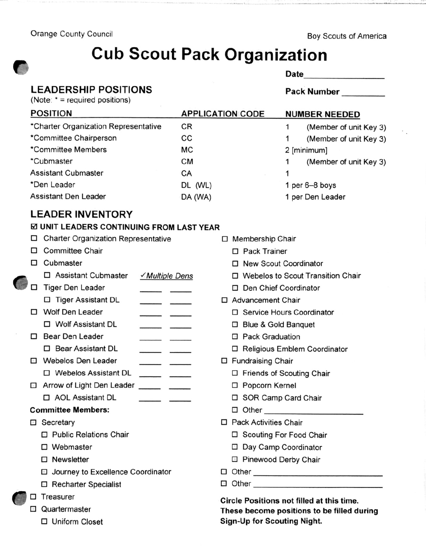Orange County Council and Council Boy Scouts of America

# Cub Scout Pack Organization

| Date |  |  |
|------|--|--|
|      |  |  |

### LEADERSHIP POSITIONS

(Note: \* = required positions)

#### Pack Number

| <b>POSITION</b>                      | <b>APPLICATION CODE</b> | <b>NUMBER NEEDED</b>   |  |
|--------------------------------------|-------------------------|------------------------|--|
| *Charter Organization Representative | CR                      | (Member of unit Key 3) |  |
| *Committee Chairperson               | CС                      | (Member of unit Key 3) |  |
| *Committee Members                   | <b>MC</b>               | 2 [minimum]            |  |
| *Cubmaster                           | <b>CM</b>               | (Member of unit Key 3) |  |
| <b>Assistant Cubmaster</b>           | CA                      |                        |  |
| *Den Leader                          | DL (WL)                 | 1 per 6-8 boys         |  |
| <b>Assistant Den Leader</b>          | DA (WA)                 | 1 per Den Leader       |  |
|                                      |                         |                        |  |

## LEADER INVENTORY

#### **E UNIT LEADERS CONTINUING FROM LAST YEAR**

| □              | <b>Charter Organization Representative</b> |                                                                                                                                                                                                                                      |         | □ Membership Chair                               |
|----------------|--------------------------------------------|--------------------------------------------------------------------------------------------------------------------------------------------------------------------------------------------------------------------------------------|---------|--------------------------------------------------|
| $\blacksquare$ | <b>Committee Chair</b>                     |                                                                                                                                                                                                                                      |         | □ Pack Trainer                                   |
| ▫              | Cubmaster                                  |                                                                                                                                                                                                                                      |         | □ New Scout Coordinator                          |
|                | □ Assistant Cubmaster                      | <u>√ Multiple Dens</u>                                                                                                                                                                                                               |         | □ Webelos to Scout Transition Chair              |
| □              | <b>Tiger Den Leader</b>                    |                                                                                                                                                                                                                                      |         | Den Chief Coordinator<br>□                       |
|                | □ Tiger Assistant DL                       | <u>and a strong that the strong strong the strong strong strong strong strong strong strong strong strong strong strong strong strong strong strong strong strong strong strong strong strong strong strong strong strong strong</u> |         | □ Advancement Chair                              |
| П              | <b>Wolf Den Leader</b>                     |                                                                                                                                                                                                                                      |         | □ Service Hours Coordinator                      |
|                | □ Wolf Assistant DL                        |                                                                                                                                                                                                                                      |         | □ Blue & Gold Banquet                            |
| П.             | <b>Bear Den Leader</b>                     |                                                                                                                                                                                                                                      |         | <b>Pack Graduation</b><br>$\langle \psi \rangle$ |
|                | □ Bear Assistant DL                        |                                                                                                                                                                                                                                      |         | □ Religious Emblem Coordinator                   |
| $\blacksquare$ | <b>Webelos Den Leader</b>                  |                                                                                                                                                                                                                                      |         | □ Fundraising Chair                              |
|                | $\Box$ Webelos Assistant DL                | <b>Andrew Community</b>                                                                                                                                                                                                              |         | □ Friends of Scouting Chair                      |
| $\alpha$       | Arrow of Light Den Leader                  | <u> Albanya (Albanya)</u>                                                                                                                                                                                                            |         | □ Popcorn Kernel                                 |
|                | D AOL Assistant DL                         | <u> process</u> parameter                                                                                                                                                                                                            |         | □ SOR Camp Card Chair                            |
|                | <b>Committee Members:</b>                  |                                                                                                                                                                                                                                      |         |                                                  |
| $\alpha$       | Secretary                                  |                                                                                                                                                                                                                                      | □       | <b>Pack Activities Chair</b>                     |
|                | □ Public Relations Chair                   |                                                                                                                                                                                                                                      |         | □ Scouting For Food Chair                        |
|                | □ Webmaster                                |                                                                                                                                                                                                                                      |         | □ Day Camp Coordinator                           |
|                | $\Box$ Newsletter                          |                                                                                                                                                                                                                                      |         | □ Pinewood Derby Chair                           |
|                | □ Journey to Excellence Coordinator        |                                                                                                                                                                                                                                      | ⊡       |                                                  |
|                | □ Recharter Specialist                     |                                                                                                                                                                                                                                      | $\odot$ |                                                  |
| $\Box$         | Treasurer                                  |                                                                                                                                                                                                                                      |         | Circle Positions not filled at this time.        |
| $\alpha$       | Quartermaster                              |                                                                                                                                                                                                                                      |         | These become positions to be filled during       |
|                | □ Uniform Closet                           |                                                                                                                                                                                                                                      |         | <b>Sign-Up for Scouting Night.</b>               |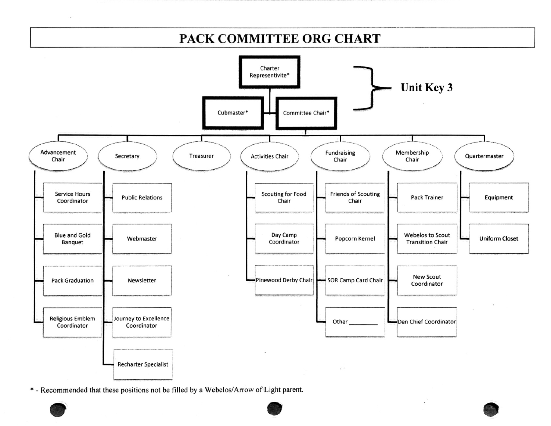# PACK COMMITTEE ORG CHART



\* - Recommended that these positions not be filled by a Webelos/Arrow of Light parent.

 $\blacksquare$